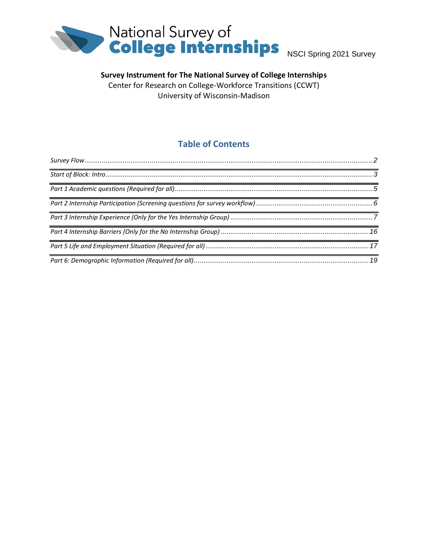

# **Survey Instrument for The National Survey of College Internships**

Center for Research on College-Workforce Transitions (CCWT) University of Wisconsin-Madison

# **Table of Contents**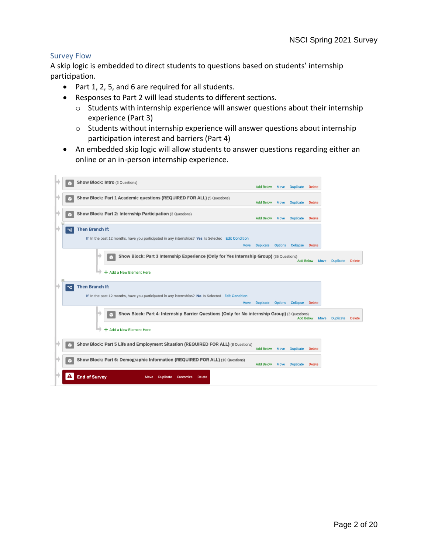#### <span id="page-1-0"></span>Survey Flow

A skip logic is embedded to direct students to questions based on students' internship participation.

- Part 1, 2, 5, and 6 are required for all students.
- Responses to Part 2 will lead students to different sections.
	- o Students with internship experience will answer questions about their internship experience (Part 3)
	- o Students without internship experience will answer questions about internship participation interest and barriers (Part 4)
- An embedded skip logic will allow students to answer questions regarding either an online or an in-person internship experience.

|        |   | <b>Show Block: Intro (3 Questions)</b>                                                                                                      | <b>Add Below</b> | <b>Move</b>    | <b>Duplicate</b> | <b>Delete</b> |                                 |               |
|--------|---|---------------------------------------------------------------------------------------------------------------------------------------------|------------------|----------------|------------------|---------------|---------------------------------|---------------|
|        |   | Show Block: Part 1 Academic questions (REQUIRED FOR ALL) (5 Questions)                                                                      | <b>Add Below</b> | <b>Move</b>    | <b>Duplicate</b> | <b>Delete</b> |                                 |               |
| $\Box$ |   | Show Block: Part 2: Internship Participation (3 Questions)                                                                                  | <b>Add Below</b> | <b>Move</b>    | <b>Duplicate</b> | <b>Delete</b> |                                 |               |
|        | ~ | <b>Then Branch If:</b><br>If In the past 12 months, have you participated in any internships? Yes Is Selected Edit Condition<br><b>Move</b> | <b>Duplicate</b> | <b>Options</b> | <b>Collapse</b>  | <b>Delete</b> |                                 |               |
|        |   | Show Block: Part 3 Internship Experience (Only for Yes Internship Group) (35 Questions)                                                     |                  |                | <b>Add Below</b> |               | <b>Duplicate</b><br><b>Move</b> | <b>Delete</b> |
| 曰      |   | $+$ Add a New Element Here                                                                                                                  |                  |                |                  |               |                                 |               |
|        | ~ | <b>Then Branch If:</b><br>If In the past 12 months, have you participated in any internships? No Is Selected Edit Condition<br><b>Move</b>  | <b>Duplicate</b> | <b>Options</b> | <b>Collapse</b>  | <b>Delete</b> |                                 |               |
|        |   | Show Block: Part 4: Internship Barrier Questions (Only for No internship Group) (3 Questions)                                               |                  |                | <b>Add Below</b> |               | <b>Move</b><br><b>Duplicate</b> | <b>Delete</b> |
|        |   | + Add a New Element Here                                                                                                                    |                  |                |                  |               |                                 |               |
|        |   | Show Block: Part 5 Life and Employment Situation (REQUIRED FOR ALL) (8 Questions)                                                           | <b>Add Below</b> | <b>Move</b>    | <b>Duplicate</b> | <b>Delete</b> |                                 |               |
|        |   | Show Block: Part 6: Demographic Information (REQUIRED FOR ALL) (10 Questions)                                                               | <b>Add Below</b> | <b>Move</b>    | <b>Duplicate</b> | <b>Delete</b> |                                 |               |
|        |   | <b>End of Survey</b><br><b>Delete</b><br>Move<br><b>Duplicate</b><br><b>Customize</b>                                                       |                  |                |                  |               |                                 |               |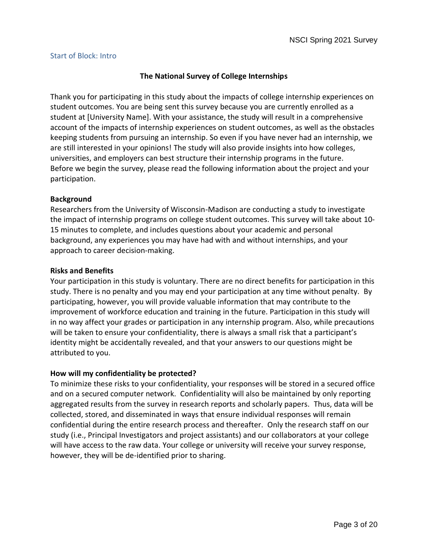#### <span id="page-2-0"></span>Start of Block: Intro

### **The National Survey of College Internships**

Thank you for participating in this study about the impacts of college internship experiences on student outcomes. You are being sent this survey because you are currently enrolled as a student at [University Name]. With your assistance, the study will result in a comprehensive account of the impacts of internship experiences on student outcomes, as well as the obstacles keeping students from pursuing an internship. So even if you have never had an internship, we are still interested in your opinions! The study will also provide insights into how colleges, universities, and employers can best structure their internship programs in the future. Before we begin the survey, please read the following information about the project and your participation.

#### **Background**

Researchers from the University of Wisconsin-Madison are conducting a study to investigate the impact of internship programs on college student outcomes. This survey will take about 10- 15 minutes to complete, and includes questions about your academic and personal background, any experiences you may have had with and without internships, and your approach to career decision-making.

#### **Risks and Benefits**

Your participation in this study is voluntary. There are no direct benefits for participation in this study. There is no penalty and you may end your participation at any time without penalty. By participating, however, you will provide valuable information that may contribute to the improvement of workforce education and training in the future. Participation in this study will in no way affect your grades or participation in any internship program. Also, while precautions will be taken to ensure your confidentiality, there is always a small risk that a participant's identity might be accidentally revealed, and that your answers to our questions might be attributed to you.

#### **How will my confidentiality be protected?**

To minimize these risks to your confidentiality, your responses will be stored in a secured office and on a secured computer network. Confidentiality will also be maintained by only reporting aggregated results from the survey in research reports and scholarly papers. Thus, data will be collected, stored, and disseminated in ways that ensure individual responses will remain confidential during the entire research process and thereafter. Only the research staff on our study (i.e., Principal Investigators and project assistants) and our collaborators at your college will have access to the raw data. Your college or university will receive your survey response, however, they will be de-identified prior to sharing.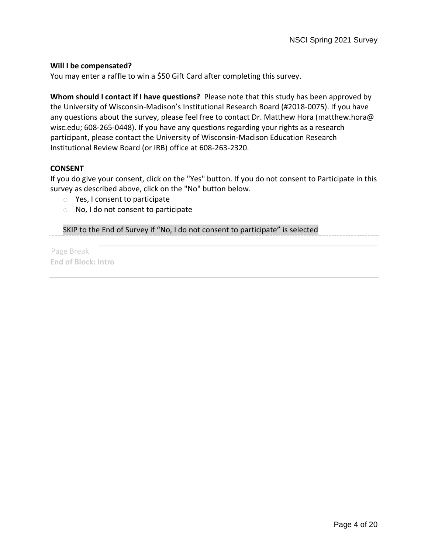#### **Will I be compensated?**

You may enter a raffle to win a \$50 Gift Card after completing this survey.

**Whom should I contact if I have questions?** Please note that this study has been approved by the University of Wisconsin-Madison's Institutional Research Board (#2018-0075). If you have any questions about the survey, please feel free to contact Dr. Matthew Hora (matthew.hora@ wisc.edu; 608-265-0448). If you have any questions regarding your rights as a research participant, please contact the University of Wisconsin-Madison Education Research Institutional Review Board (or IRB) office at 608-263-2320.

#### **CONSENT**

If you do give your consent, click on the "Yes" button. If you do not consent to Participate in this survey as described above, click on the "No" button below.

- o Yes, I consent to participate
- o No, I do not consent to participate

SKIP to the End of Survey if "No, I do not consent to participate" is selected

Page Break **End of Block: Intro**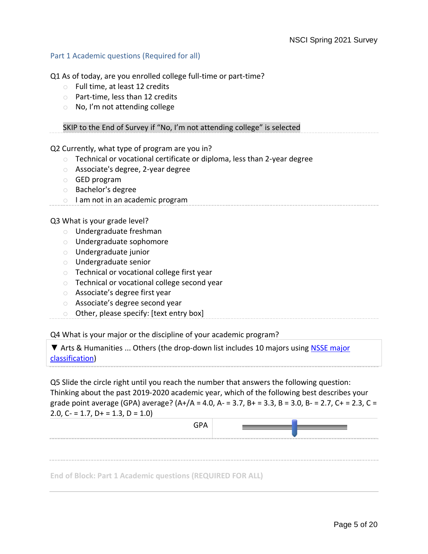#### <span id="page-4-0"></span>Part 1 Academic questions (Required for all)

Q1 As of today, are you enrolled college full-time or part-time?

- o Full time, at least 12 credits
- o Part-time, less than 12 credits
- o No, I'm not attending college

SKIP to the End of Survey if "No, I'm not attending college" is selected

Q2 Currently, what type of program are you in?

- o Technical or vocational certificate or diploma, less than 2-year degree
- o Associate's degree, 2-year degree
- o GED program
- o Bachelor's degree
- o I am not in an academic program

Q3 What is your grade level?

- o Undergraduate freshman
- o Undergraduate sophomore
- o Undergraduate junior
- o Undergraduate senior
- o Technical or vocational college first year
- o Technical or vocational college second year
- o Associate's degree first year
- o Associate's degree second year
- o Other, please specify: [text entry box]

Q4 What is your major or the discipline of your academic program?

▼ Arts & Humanities ... Others (the drop-down list includes 10 majors using [NSSE major](https://nsse.indiana.edu/nsse/reports-data/sample-report/major_field_categories.html)  [classification\)](https://nsse.indiana.edu/nsse/reports-data/sample-report/major_field_categories.html)

Q5 Slide the circle right until you reach the number that answers the following question: Thinking about the past 2019-2020 academic year, which of the following best describes your grade point average (GPA) average?  $(A+/A = 4.0, A = 3.7, B += 3.3, B = 3.0, B = 2.7, C += 2.3, C =$ 2.0,  $C = 1.7$ ,  $D + 1.3$ ,  $D = 1.0$ 

| <b>GPA</b>                                                        |  |
|-------------------------------------------------------------------|--|
|                                                                   |  |
|                                                                   |  |
| <b>End of Block: Part 1 Academic questions (REQUIRED FOR ALL)</b> |  |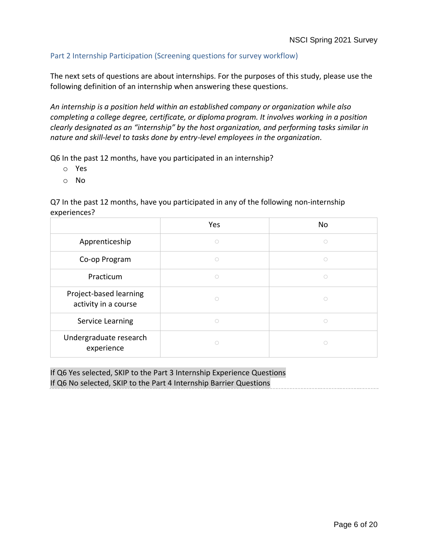## <span id="page-5-0"></span>Part 2 Internship Participation (Screening questions for survey workflow)

The next sets of questions are about internships. For the purposes of this study, please use the following definition of an internship when answering these questions.

*An internship is a position held within an established company or organization while also completing a college degree, certificate, or diploma program. It involves working in a position clearly designated as an "internship" by the host organization, and performing tasks similar in nature and skill-level to tasks done by entry-level employees in the organization.*

Q6 In the past 12 months, have you participated in an internship?

- o Yes
- o No

Q7 In the past 12 months, have you participated in any of the following non-internship experiences?

|                                                | Yes        | No     |
|------------------------------------------------|------------|--------|
| Apprenticeship                                 | $\bigcirc$ | ∩      |
| Co-op Program                                  | $\circ$    | $\cap$ |
| Practicum                                      | ∩          | ∩      |
| Project-based learning<br>activity in a course |            |        |
| Service Learning                               | $\bigcirc$ | ∩      |
| Undergraduate research<br>experience           |            |        |

If Q6 Yes selected, SKIP to the Part 3 Internship Experience Questions If Q6 No selected, SKIP to the Part 4 Internship Barrier Questions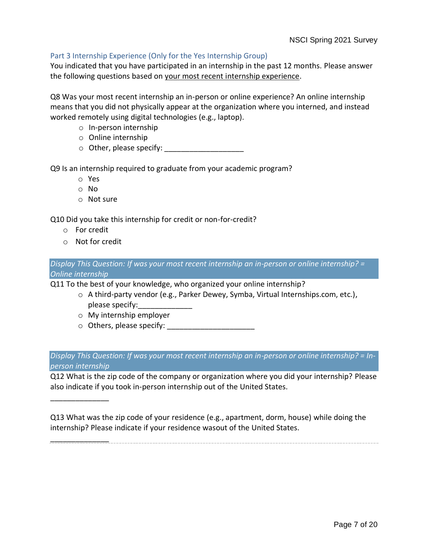## <span id="page-6-0"></span>Part 3 Internship Experience (Only for the Yes Internship Group)

You indicated that you have participated in an internship in the past 12 months. Please answer the following questions based on your most recent internship experience.

Q8 Was your most recent internship an in-person or online experience? An online internship means that you did not physically appear at the organization where you interned, and instead worked remotely using digital technologies (e.g., laptop).

- o In-person internship
- o Online internship
- $\circ$  Other, please specify:

Q9 Is an internship required to graduate from your academic program?

- o Yes
- o No
- o Not sure

Q10 Did you take this internship for credit or non-for-credit?

o For credit

\_\_\_\_\_\_\_\_\_\_\_\_\_\_

\_\_\_\_\_\_\_\_\_\_\_\_\_\_

o Not for credit

*Display This Question: If was your most recent internship an in-person or online internship? = Online internship*

Q11 To the best of your knowledge, who organized your online internship?

- o A third-party vendor (e.g., Parker Dewey, Symba, Virtual Internships.com, etc.), please specify:
- o My internship employer
- o Others, please specify: \_\_\_\_\_\_\_\_\_\_\_\_\_\_\_\_\_\_\_\_\_

*Display This Question: If was your most recent internship an in-person or online internship? = Inperson internship*

Q12 What is the zip code of the company or organization where you did your internship? Please also indicate if you took in-person internship out of the United States.

Q13 What was the zip code of your residence (e.g., apartment, dorm, house) while doing the internship? Please indicate if your residence wasout of the United States.

Page 7 of 20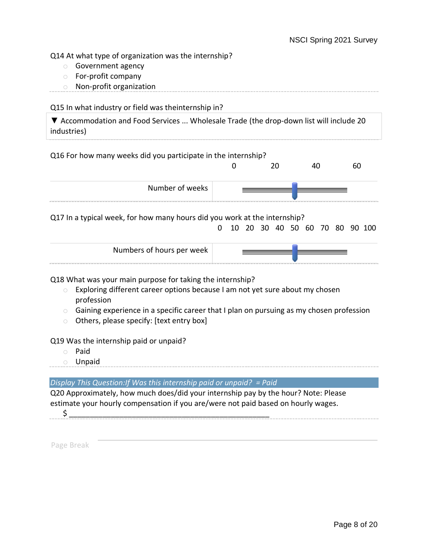Q14 At what type of organization was the internship?

- o Government agency
- o For-profit company
- o Non-profit organization

Q15 In what industry or field was theinternship in?

▼ Accommodation and Food Services ... Wholesale Trade (the drop-down list will include 20 industries)

## Q16 For how many weeks did you participate in the internship?

|                 |  | σU |
|-----------------|--|----|
| Number of weeks |  |    |

Q17 In a typical week, for how many hours did you work at the internship?

0 10 20 30 40 50 60 70 80 90 100

| Numbers of hours per week |  |
|---------------------------|--|
|---------------------------|--|

Q18 What was your main purpose for taking the internship?

- $\circ$  Exploring different career options because I am not yet sure about my chosen profession
- $\circ$  Gaining experience in a specific career that I plan on pursuing as my chosen profession
- o Others, please specify: [text entry box]

Q19 Was the internship paid or unpaid?

- o Paid
- o Unpaid

*Display This Question:If Was this internship paid or unpaid? = Paid*

Q20 Approximately, how much does/did your internship pay by the hour? Note: Please estimate your hourly compensation if you are/were not paid based on hourly wages.

 $\zeta$ 

Page Break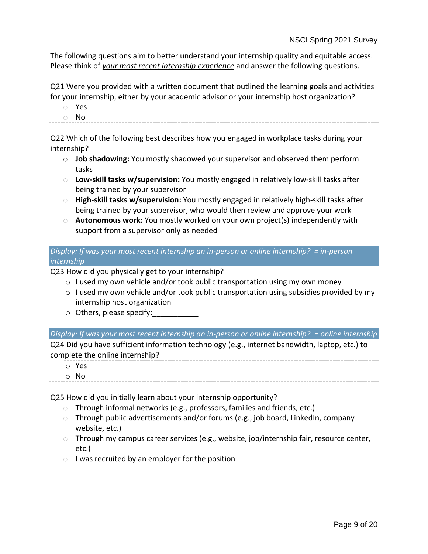The following questions aim to better understand your internship quality and equitable access. Please think of *your most recent internship experience* and answer the following questions.

Q21 Were you provided with a written document that outlined the learning goals and activities for your internship, either by your academic advisor or your internship host organization?

- o Yes
- o No

Q22 Which of the following best describes how you engaged in workplace tasks during your internship?

- o **Job shadowing:** You mostly shadowed your supervisor and observed them perform tasks
- o **Low-skill tasks w/supervision:** You mostly engaged in relatively low-skill tasks after being trained by your supervisor
- o **High-skill tasks w/supervision:** You mostly engaged in relatively high-skill tasks after being trained by your supervisor, who would then review and approve your work
- o **Autonomous work:** You mostly worked on your own project(s) independently with support from a supervisor only as needed

*Display: If was your most recent internship an in-person or online internship? = in-person internship*

Q23 How did you physically get to your internship?

- $\circ$  I used my own vehicle and/or took public transportation using my own money
- o I used my own vehicle and/or took public transportation using subsidies provided by my internship host organization
- $\circ$  Others, please specify:

*Display: If was your most recent internship an in-person or online internship? = online internship* Q24 Did you have sufficient information technology (e.g., internet bandwidth, laptop, etc.) to complete the online internship?

- o Yes
- o No

Q25 How did you initially learn about your internship opportunity?

- o Through informal networks (e.g., professors, families and friends, etc.)
- $\circ$  Through public advertisements and/or forums (e.g., job board, LinkedIn, company website, etc.)
- o Through my campus career services (e.g., website, job/internship fair, resource center, etc.)
- $\circ$  I was recruited by an employer for the position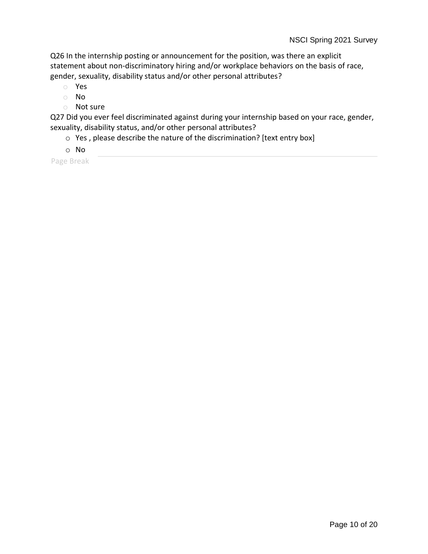Q26 In the internship posting or announcement for the position, was there an explicit statement about non-discriminatory hiring and/or workplace behaviors on the basis of race, gender, sexuality, disability status and/or other personal attributes?

- o Yes
- o No
- o Not sure

Q27 Did you ever feel discriminated against during your internship based on your race, gender, sexuality, disability status, and/or other personal attributes?

- o Yes , please describe the nature of the discrimination? [text entry box]
- o No

Page Break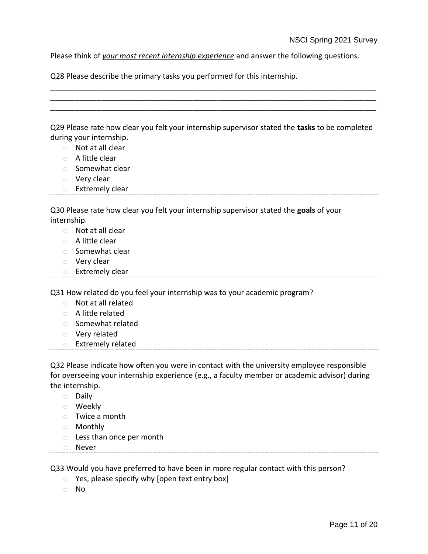Please think of *your most recent internship experience* and answer the following questions.

Q28 Please describe the primary tasks you performed for this internship.

| Q29 Please rate how clear you felt your internship supervisor stated the tasks to be completed |  |  |
|------------------------------------------------------------------------------------------------|--|--|
| during your internship.                                                                        |  |  |

\_\_\_\_\_\_\_\_\_\_\_\_\_\_\_\_\_\_\_\_\_\_\_\_\_\_\_\_\_\_\_\_\_\_\_\_\_\_\_\_\_\_\_\_\_\_\_\_\_\_\_\_\_\_\_\_\_\_\_\_\_\_\_\_\_\_\_\_\_\_\_\_\_\_\_\_\_\_ \_\_\_\_\_\_\_\_\_\_\_\_\_\_\_\_\_\_\_\_\_\_\_\_\_\_\_\_\_\_\_\_\_\_\_\_\_\_\_\_\_\_\_\_\_\_\_\_\_\_\_\_\_\_\_\_\_\_\_\_\_\_\_\_\_\_\_\_\_\_\_\_\_\_\_\_\_\_ \_\_\_\_\_\_\_\_\_\_\_\_\_\_\_\_\_\_\_\_\_\_\_\_\_\_\_\_\_\_\_\_\_\_\_\_\_\_\_\_\_\_\_\_\_\_\_\_\_\_\_\_\_\_\_\_\_\_\_\_\_\_\_\_\_\_\_\_\_\_\_\_\_\_\_\_\_\_

- o Not at all clear
- o A little clear
- o Somewhat clear
- o Very clear
- o Extremely clear

Q30 Please rate how clear you felt your internship supervisor stated the **goals** of your internship.

- o Not at all clear
- o A little clear
- o Somewhat clear
- o Very clear
- o Extremely clear

Q31 How related do you feel your internship was to your academic program?

- o Not at all related
- o A little related
- o Somewhat related
- o Very related
- o Extremely related

Q32 Please indicate how often you were in contact with the university employee responsible for overseeing your internship experience (e.g., a faculty member or academic advisor) during the internship.

- o Daily
- o Weekly
- o Twice a month
- o Monthly
- o Less than once per month
- o Never

Q33 Would you have preferred to have been in more regular contact with this person?

- o Yes, please specify why [open text entry box]
- o No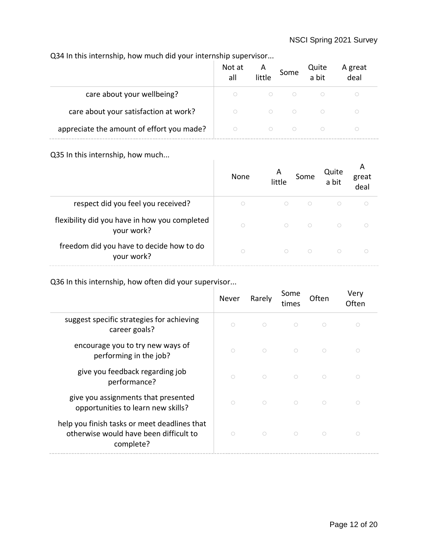# Q34 In this internship, how much did your internship supervisor...

|                                           | Not at<br>all | A<br>little | Some | Quite<br>a bit | A great<br>deal |  |
|-------------------------------------------|---------------|-------------|------|----------------|-----------------|--|
| care about your wellbeing?                |               |             |      |                |                 |  |
| care about your satisfaction at work?     | $\bigcap$     |             |      |                |                 |  |
| appreciate the amount of effort you made? |               |             |      |                |                 |  |

Q35 In this internship, how much...

| $\sim$                                                      | None       | A<br>little | Some       | Quite<br>a bit | A<br>great<br>deal |
|-------------------------------------------------------------|------------|-------------|------------|----------------|--------------------|
| respect did you feel you received?                          | $\bigcirc$ | $\circ$     | $\bigcirc$ | $\bigcirc$     |                    |
| flexibility did you have in how you completed<br>your work? | $\bigcirc$ | $\bigcirc$  | $\bigcirc$ | $\bigcirc$     |                    |
| freedom did you have to decide how to do<br>your work?      | $\bigcap$  | $\bigcirc$  | $\bigcap$  | $\bigcirc$     |                    |

Q36 In this internship, how often did your supervisor...

|                                                                                                     | <b>Never</b> | Rarely     | Some<br>times | Often      | Very<br>Often       |
|-----------------------------------------------------------------------------------------------------|--------------|------------|---------------|------------|---------------------|
| suggest specific strategies for achieving<br>career goals?                                          | $\circ$      | $\bigcirc$ | $\bigcirc$    | $\bigcirc$ | $\bigcirc$          |
| encourage you to try new ways of<br>performing in the job?                                          | $\bigcirc$   | $\bigcirc$ | $\bigcirc$    | $\bigcirc$ | $\circlearrowright$ |
| give you feedback regarding job<br>performance?                                                     | $\bigcirc$   | $\bigcirc$ | $\bigcirc$    | $\bigcirc$ | $\bigcirc$          |
| give you assignments that presented<br>opportunities to learn new skills?                           | $\bigcirc$   | $\bigcap$  | $\bigcirc$    | $\bigcirc$ | ∩                   |
| help you finish tasks or meet deadlines that<br>otherwise would have been difficult to<br>complete? | $\bigcirc$   | $\bigcap$  | $\bigcirc$    | $\bigcirc$ | ◯                   |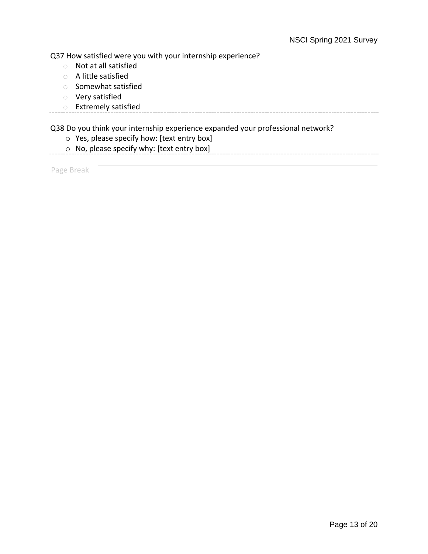Q37 How satisfied were you with your internship experience?

- o Not at all satisfied
- o A little satisfied
- o Somewhat satisfied
- o Very satisfied
- o Extremely satisfied

Q38 Do you think your internship experience expanded your professional network?

- o Yes, please specify how: [text entry box]
- o No, please specify why: [text entry box]

Page Break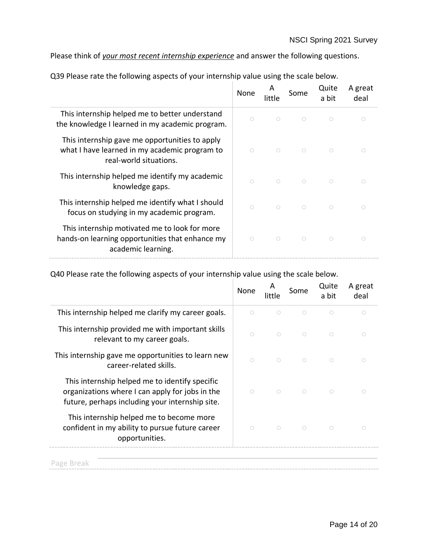Please think of *your most recent internship experience* and answer the following questions.

|                                                                                                                           | None       | A<br>little | Some       | Quite<br>a bit | A great<br>deal |
|---------------------------------------------------------------------------------------------------------------------------|------------|-------------|------------|----------------|-----------------|
| This internship helped me to better understand<br>the knowledge I learned in my academic program.                         | $\bigcirc$ | $\bigcirc$  | $\bigcirc$ | $\bigcirc$     |                 |
| This internship gave me opportunities to apply<br>what I have learned in my academic program to<br>real-world situations. | $\bigcirc$ | $\bigcirc$  | $\bigcirc$ | $\bigcirc$     |                 |
| This internship helped me identify my academic<br>knowledge gaps.                                                         | $\bigcirc$ | $\bigcirc$  | $\bigcirc$ | $\circ$        |                 |
| This internship helped me identify what I should<br>focus on studying in my academic program.                             | $\bigcirc$ | $\bigcirc$  | $\bigcirc$ | $\bigcirc$     |                 |
| This internship motivated me to look for more<br>hands-on learning opportunities that enhance my<br>academic learning.    | $\bigcirc$ | $\bigcirc$  | $\bigcirc$ | $\bigcirc$     |                 |

Q39 Please rate the following aspects of your internship value using the scale below.

Q40 Please rate the following aspects of your internship value using the scale below.

|                                                                                                                                                      | None       | А<br>little         | Some       | Quite<br>a bit | A great<br>deal |
|------------------------------------------------------------------------------------------------------------------------------------------------------|------------|---------------------|------------|----------------|-----------------|
| This internship helped me clarify my career goals.                                                                                                   | $\bigcirc$ | $\bigcirc$          | $\bigcirc$ | $\bigcirc$     | ∩               |
| This internship provided me with important skills<br>relevant to my career goals.                                                                    | $\bigcirc$ | $\bigcirc$          | $\bigcirc$ | $\bigcirc$     | ∩               |
| This internship gave me opportunities to learn new<br>career-related skills.                                                                         | $\bigcirc$ | $\bigcirc$          | $\bigcirc$ | $\bigcap$      |                 |
| This internship helped me to identify specific<br>organizations where I can apply for jobs in the<br>future, perhaps including your internship site. | $\bigcirc$ | $\bigcirc$          | $\bigcirc$ | $\bigcirc$     |                 |
| This internship helped me to become more<br>confident in my ability to pursue future career<br>opportunities.                                        | $\bigcirc$ | $\circlearrowright$ | $\bigcirc$ | $\circ$        |                 |
| Page Break                                                                                                                                           |            |                     |            |                |                 |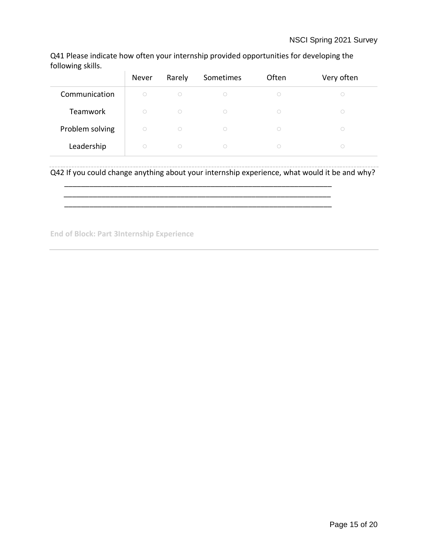Q41 Please indicate how often your internship provided opportunities for developing the following skills.

|                 | Never      | Rarely     | Sometimes | Often      | Very often |
|-----------------|------------|------------|-----------|------------|------------|
| Communication   | $\bigcirc$ | $\circ$    | O         | ∩          |            |
| Teamwork        | $\bigcap$  | $\bigcirc$ | ∩         | $\bigcap$  |            |
| Problem solving | $\bigcirc$ | $\bigcirc$ | 0         | $\bigcirc$ |            |
| Leadership      | $\bigcap$  | $\bigcirc$ | $\cup$    |            |            |

Q42 If you could change anything about your internship experience, what would it be and why?

\_\_\_\_\_\_\_\_\_\_\_\_\_\_\_\_\_\_\_\_\_\_\_\_\_\_\_\_\_\_\_\_\_\_\_\_\_\_\_\_\_\_\_\_\_\_\_\_\_\_\_\_\_\_\_\_\_\_\_\_\_\_\_\_

\_\_\_\_\_\_\_\_\_\_\_\_\_\_\_\_\_\_\_\_\_\_\_\_\_\_\_\_\_\_\_\_\_\_\_\_\_\_\_\_\_\_\_\_\_\_\_\_\_\_\_\_\_\_\_\_\_\_\_\_\_\_\_\_

**End of Block: Part 3Internship Experience**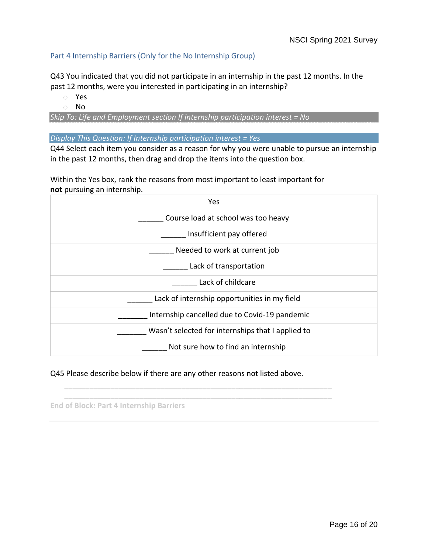## <span id="page-15-0"></span>Part 4 Internship Barriers (Only for the No Internship Group)

Q43 You indicated that you did not participate in an internship in the past 12 months. In the past 12 months, were you interested in participating in an internship?

- o Yes
- o No

*Skip To: Life and Employment section If internship participation interest = No*

*Display This Question: If Internship participation interest = Yes*

Q44 Select each item you consider as a reason for why you were unable to pursue an internship in the past 12 months, then drag and drop the items into the question box.

Within the Yes box, rank the reasons from most important to least important for **not** pursuing an internship.

| Yes                                               |
|---------------------------------------------------|
| Course load at school was too heavy               |
| Insufficient pay offered                          |
| Needed to work at current job                     |
| Lack of transportation                            |
| Lack of childcare                                 |
| Lack of internship opportunities in my field      |
| Internship cancelled due to Covid-19 pandemic     |
| Wasn't selected for internships that I applied to |
| Not sure how to find an internship                |

Q45 Please describe below if there are any other reasons not listed above.

\_\_\_\_\_\_\_\_\_\_\_\_\_\_\_\_\_\_\_\_\_\_\_\_\_\_\_\_\_\_\_\_\_\_\_\_\_\_\_\_\_\_\_\_\_\_\_\_\_\_\_\_\_\_\_\_\_\_\_\_\_\_\_\_ \_\_\_\_\_\_\_\_\_\_\_\_\_\_\_\_\_\_\_\_\_\_\_\_\_\_\_\_\_\_\_\_\_\_\_\_\_\_\_\_\_\_\_\_\_\_\_\_\_\_\_\_\_\_\_\_\_\_\_\_\_\_\_\_

**End of Block: Part 4 Internship Barriers**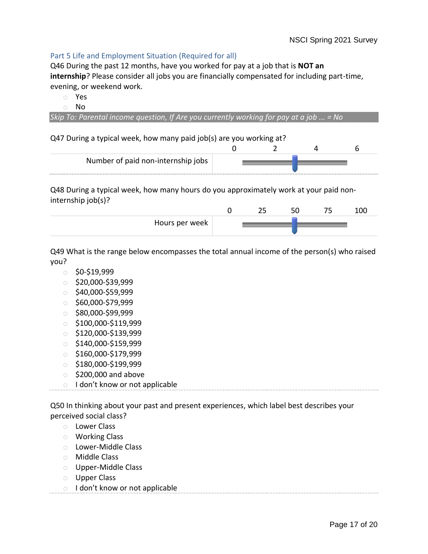## <span id="page-16-0"></span>Part 5 Life and Employment Situation (Required for all)

Q46 During the past 12 months, have you worked for pay at a job that is **NOT an internship**? Please consider all jobs you are financially compensated for including part-time, evening, or weekend work.

- o Yes
- o No

*Skip To: Parental income question, If Are you currently working for pay at a job ... = No*

Q47 During a typical week, how many paid job(s) are you working at?

| Number of paid non-internship jobs |  |  |
|------------------------------------|--|--|

Q48 During a typical week, how many hours do you approximately work at your paid noninternship job(s)?

|                | -- |  |  |
|----------------|----|--|--|
| Hours per week |    |  |  |

Q49 What is the range below encompasses the total annual income of the person(s) who raised you?

- $\circ$  \$0-\$19,999
- $\circ$  \$20,000-\$39.999
- $\circ$  \$40,000-\$59,999
- $\circ$  \$60,000-\$79,999
- o \$80,000-\$99,999
- $\circ$ \$100,000-\$119,999
- $\circ$ \$120,000-\$139,999
- $\circ$  \$140,000-\$159,999
- o \$160,000-\$179,999
- $\circ$  \$180,000-\$199,999
- $\circ$  \$200,000 and above
- o I don't know or not applicable

Q50 In thinking about your past and present experiences, which label best describes your perceived social class?

- o Lower Class
- o Working Class
- o Lower-Middle Class
- o Middle Class
- o Upper-Middle Class
- o Upper Class
- o I don't know or not applicable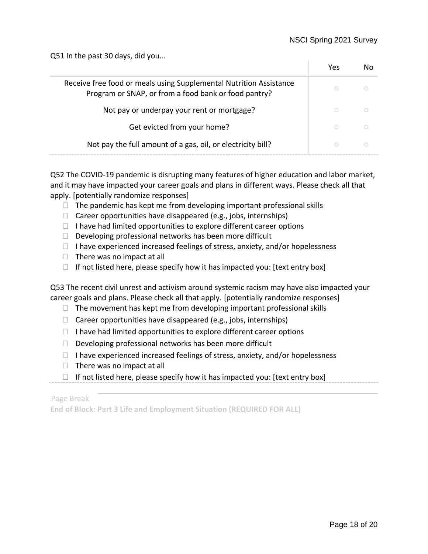Q51 In the past 30 days, did you...

|                                                                                                                            | Yes |  |
|----------------------------------------------------------------------------------------------------------------------------|-----|--|
| Receive free food or meals using Supplemental Nutrition Assistance<br>Program or SNAP, or from a food bank or food pantry? |     |  |
| Not pay or underpay your rent or mortgage?                                                                                 |     |  |
| Get evicted from your home?                                                                                                |     |  |
| Not pay the full amount of a gas, oil, or electricity bill?                                                                |     |  |

Q52 The COVID-19 pandemic is disrupting many features of higher education and labor market, and it may have impacted your career goals and plans in different ways. Please check all that apply. [potentially randomize responses]

- The pandemic has kept me from developing important professional skills
- Career opportunities have disappeared (e.g., jobs, internships)
- I have had limited opportunities to explore different career options
- Developing professional networks has been more difficult
- I have experienced increased feelings of stress, anxiety, and/or hopelessness
- There was no impact at all
- If not listed here, please specify how it has impacted you: [text entry box]

Q53 The recent civil unrest and activism around systemic racism may have also impacted your career goals and plans. Please check all that apply. [potentially randomize responses]

- The movement has kept me from developing important professional skills
- Career opportunities have disappeared (e.g., jobs, internships)
- I have had limited opportunities to explore different career options
- Developing professional networks has been more difficult
- I have experienced increased feelings of stress, anxiety, and/or hopelessness
- There was no impact at all
- If not listed here, please specify how it has impacted you: [text entry box]

Page Break

**End of Block: Part 3 Life and Employment Situation (REQUIRED FOR ALL)**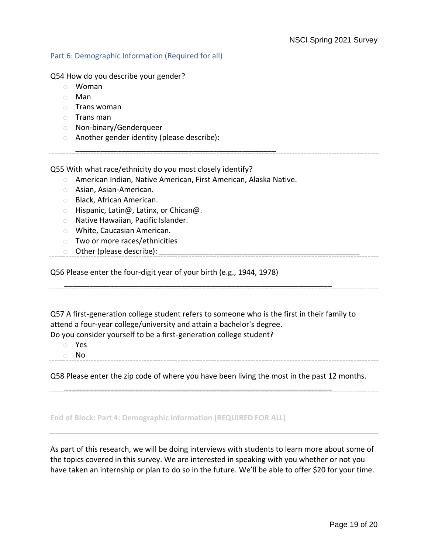#### <span id="page-18-0"></span>Part 6: Demographic Information (Required for all)

Q54 How do you describe your gender?

- o Woman
- o Man
- o Trans woman
- o Trans man
- o Non-binary/Genderqueer
- o Another gender identity (please describe):

Q55 With what race/ethnicity do you most closely identify?

o American Indian, Native American, First American, Alaska Native.

\_\_\_\_\_\_\_\_\_\_\_\_\_\_\_\_\_\_\_\_\_\_\_\_\_\_\_\_\_\_\_\_\_\_\_\_\_\_\_\_\_\_\_\_\_\_\_\_

- o Asian, Asian-American.
- o Black, African American.
- o Hispanic, Latin@, Latinx, or Chican@.
- o Native Hawaiian, Pacific Islander.
- o White, Caucasian American.
- o Two or more races/ethnicities
- $\circ$  Other (please describe):

Q56 Please enter the four-digit year of your birth (e.g., 1944, 1978)

Q57 A first-generation college student refers to someone who is the first in their family to attend a four-year college/university and attain a bachelor's degree.

\_\_\_\_\_\_\_\_\_\_\_\_\_\_\_\_\_\_\_\_\_\_\_\_\_\_\_\_\_\_\_\_\_\_\_\_\_\_\_\_\_\_\_\_\_\_\_\_\_\_\_\_\_\_\_\_\_\_\_\_\_\_\_\_

Do you consider yourself to be a first-generation college student?

- o Yes
- o No

Q58 Please enter the zip code of where you have been living the most in the past 12 months.

\_\_\_\_\_\_\_\_\_\_\_\_\_\_\_\_\_\_\_\_\_\_\_\_\_\_\_\_\_\_\_\_\_\_\_\_\_\_\_\_\_\_\_\_\_\_\_\_\_\_\_\_\_\_\_\_\_\_\_\_\_\_\_\_

#### **End of Block: Part 4: Demographic Information (REQUIRED FOR ALL)**

As part of this research, we will be doing interviews with students to learn more about some of the topics covered in this survey. We are interested in speaking with you whether or not you have taken an internship or plan to do so in the future. We'll be able to offer \$20 for your time.